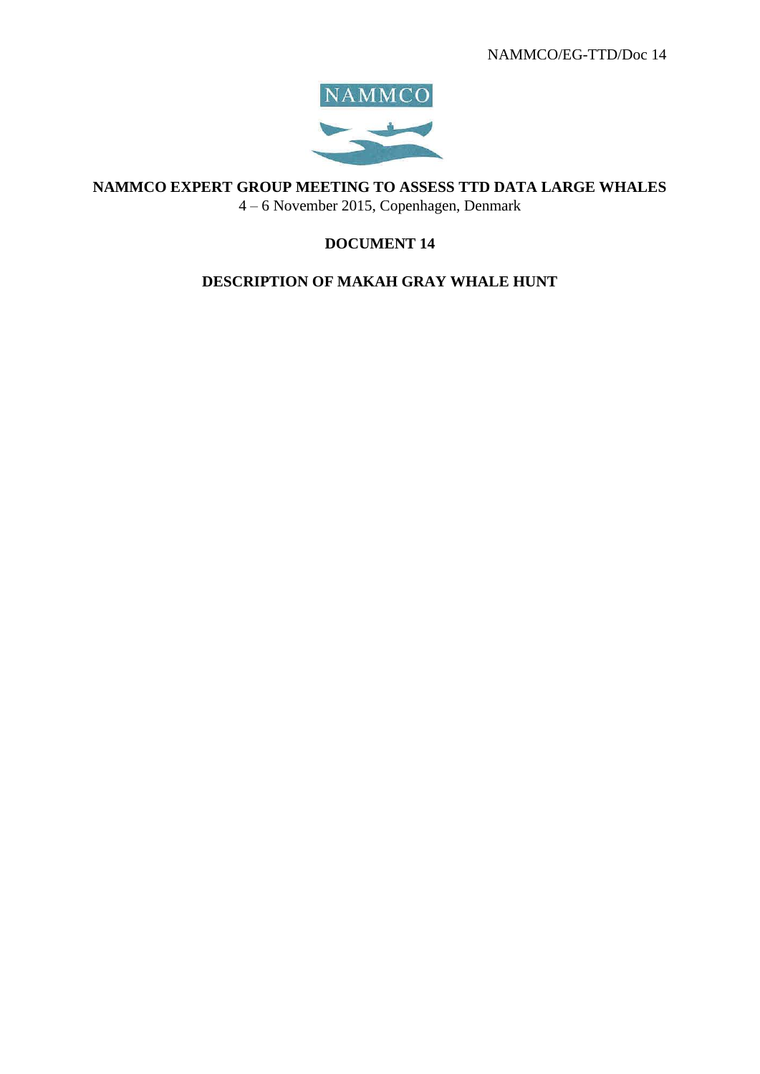

**NAMMCO EXPERT GROUP MEETING TO ASSESS TTD DATA LARGE WHALES**

4 – 6 November 2015, Copenhagen, Denmark

# **DOCUMENT 14**

# **DESCRIPTION OF MAKAH GRAY WHALE HUNT**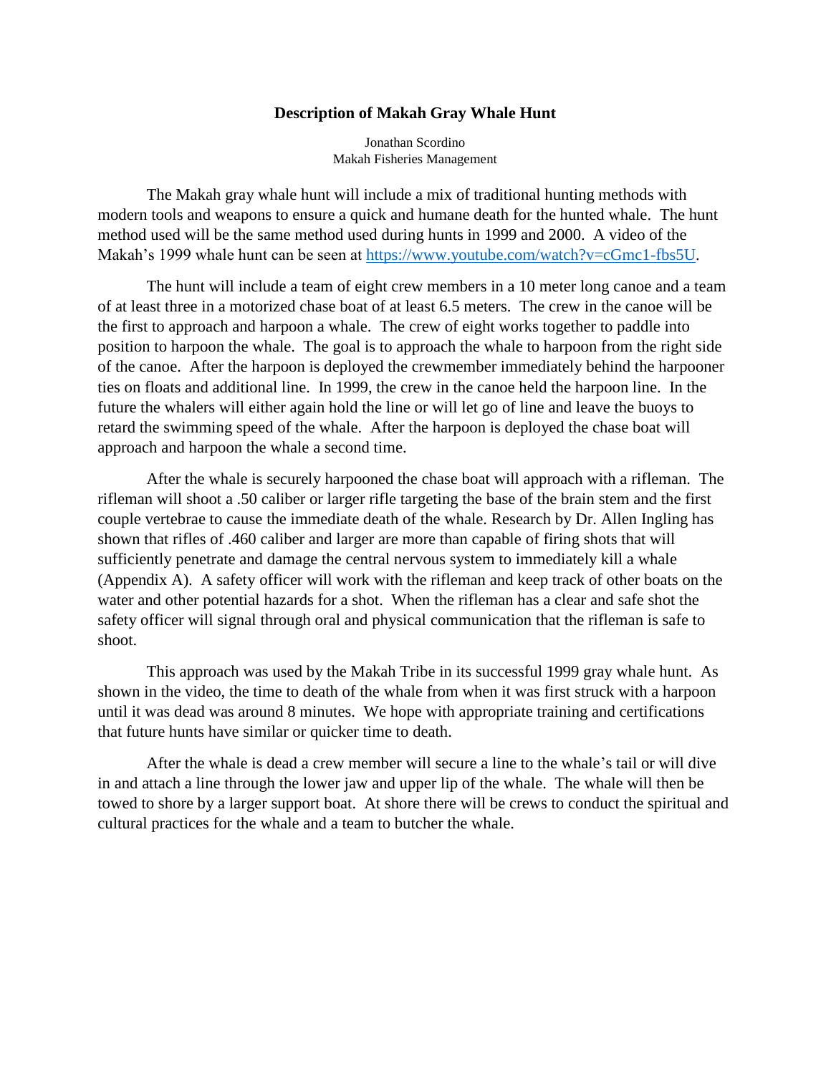## **Description of Makah Gray Whale Hunt**

Jonathan Scordino Makah Fisheries Management

The Makah gray whale hunt will include a mix of traditional hunting methods with modern tools and weapons to ensure a quick and humane death for the hunted whale. The hunt method used will be the same method used during hunts in 1999 and 2000. A video of the Makah's 1999 whale hunt can be seen at [https://www.youtube.com/watch?v=cGmc1-fbs5U.](https://www.youtube.com/watch?v=cGmc1-fbs5U)

The hunt will include a team of eight crew members in a 10 meter long canoe and a team of at least three in a motorized chase boat of at least 6.5 meters. The crew in the canoe will be the first to approach and harpoon a whale. The crew of eight works together to paddle into position to harpoon the whale. The goal is to approach the whale to harpoon from the right side of the canoe. After the harpoon is deployed the crewmember immediately behind the harpooner ties on floats and additional line. In 1999, the crew in the canoe held the harpoon line. In the future the whalers will either again hold the line or will let go of line and leave the buoys to retard the swimming speed of the whale. After the harpoon is deployed the chase boat will approach and harpoon the whale a second time.

After the whale is securely harpooned the chase boat will approach with a rifleman. The rifleman will shoot a .50 caliber or larger rifle targeting the base of the brain stem and the first couple vertebrae to cause the immediate death of the whale. Research by Dr. Allen Ingling has shown that rifles of .460 caliber and larger are more than capable of firing shots that will sufficiently penetrate and damage the central nervous system to immediately kill a whale (Appendix A). A safety officer will work with the rifleman and keep track of other boats on the water and other potential hazards for a shot. When the rifleman has a clear and safe shot the safety officer will signal through oral and physical communication that the rifleman is safe to shoot.

This approach was used by the Makah Tribe in its successful 1999 gray whale hunt. As shown in the video, the time to death of the whale from when it was first struck with a harpoon until it was dead was around 8 minutes. We hope with appropriate training and certifications that future hunts have similar or quicker time to death.

After the whale is dead a crew member will secure a line to the whale's tail or will dive in and attach a line through the lower jaw and upper lip of the whale. The whale will then be towed to shore by a larger support boat. At shore there will be crews to conduct the spiritual and cultural practices for the whale and a team to butcher the whale.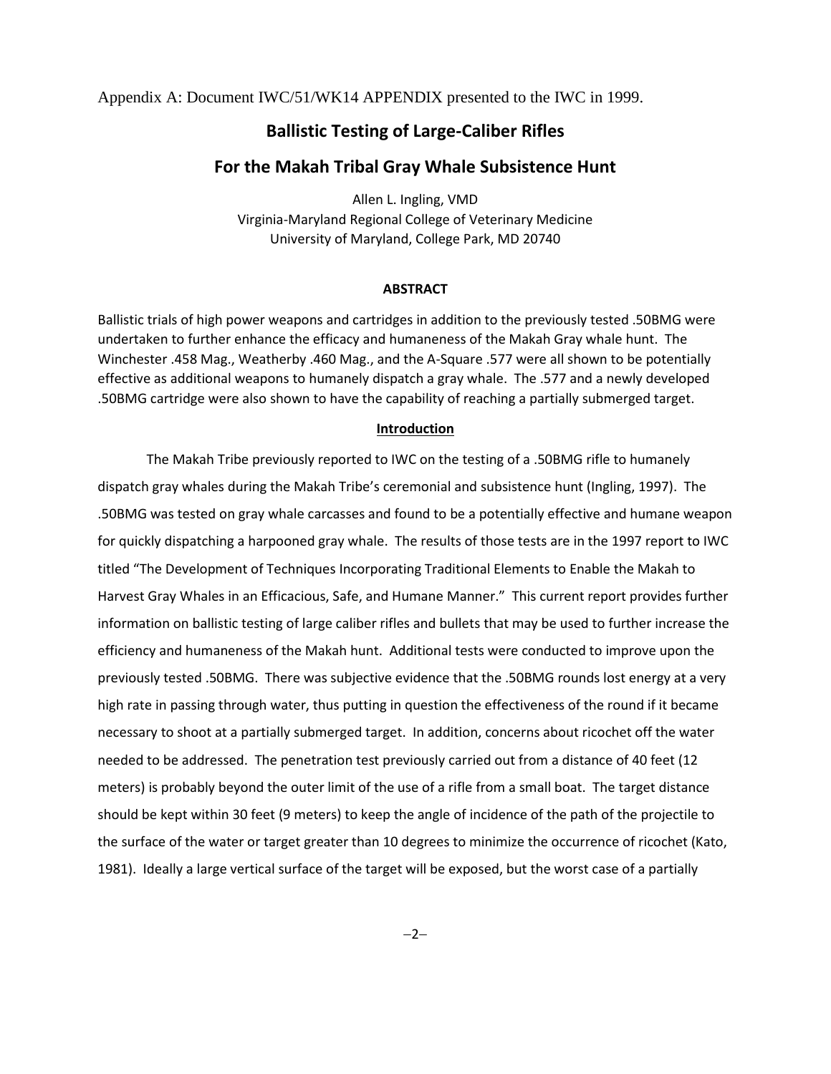Appendix A: Document IWC/51/WK14 APPENDIX presented to the IWC in 1999.

# **Ballistic Testing of Large-Caliber Rifles**

# **For the Makah Tribal Gray Whale Subsistence Hunt**

Allen L. Ingling, VMD Virginia-Maryland Regional College of Veterinary Medicine University of Maryland, College Park, MD 20740

## **ABSTRACT**

Ballistic trials of high power weapons and cartridges in addition to the previously tested .50BMG were undertaken to further enhance the efficacy and humaneness of the Makah Gray whale hunt. The Winchester .458 Mag., Weatherby .460 Mag., and the A-Square .577 were all shown to be potentially effective as additional weapons to humanely dispatch a gray whale. The .577 and a newly developed .50BMG cartridge were also shown to have the capability of reaching a partially submerged target.

#### **Introduction**

The Makah Tribe previously reported to IWC on the testing of a .50BMG rifle to humanely dispatch gray whales during the Makah Tribe's ceremonial and subsistence hunt (Ingling, 1997). The .50BMG was tested on gray whale carcasses and found to be a potentially effective and humane weapon for quickly dispatching a harpooned gray whale. The results of those tests are in the 1997 report to IWC titled "The Development of Techniques Incorporating Traditional Elements to Enable the Makah to Harvest Gray Whales in an Efficacious, Safe, and Humane Manner." This current report provides further information on ballistic testing of large caliber rifles and bullets that may be used to further increase the efficiency and humaneness of the Makah hunt. Additional tests were conducted to improve upon the previously tested .50BMG. There was subjective evidence that the .50BMG rounds lost energy at a very high rate in passing through water, thus putting in question the effectiveness of the round if it became necessary to shoot at a partially submerged target. In addition, concerns about ricochet off the water needed to be addressed. The penetration test previously carried out from a distance of 40 feet (12 meters) is probably beyond the outer limit of the use of a rifle from a small boat. The target distance should be kept within 30 feet (9 meters) to keep the angle of incidence of the path of the projectile to the surface of the water or target greater than 10 degrees to minimize the occurrence of ricochet (Kato, 1981). Ideally a large vertical surface of the target will be exposed, but the worst case of a partially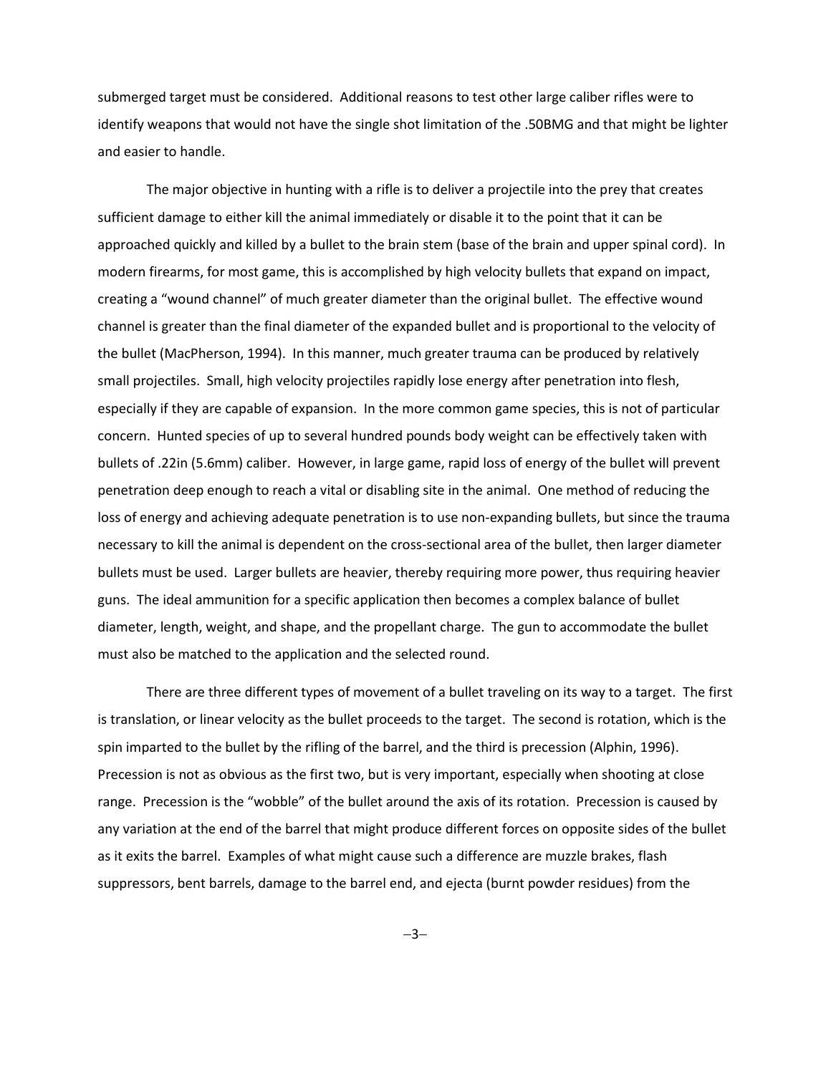submerged target must be considered. Additional reasons to test other large caliber rifles were to identify weapons that would not have the single shot limitation of the .50BMG and that might be lighter and easier to handle.

The major objective in hunting with a rifle is to deliver a projectile into the prey that creates sufficient damage to either kill the animal immediately or disable it to the point that it can be approached quickly and killed by a bullet to the brain stem (base of the brain and upper spinal cord). In modern firearms, for most game, this is accomplished by high velocity bullets that expand on impact, creating a "wound channel" of much greater diameter than the original bullet. The effective wound channel is greater than the final diameter of the expanded bullet and is proportional to the velocity of the bullet (MacPherson, 1994). In this manner, much greater trauma can be produced by relatively small projectiles. Small, high velocity projectiles rapidly lose energy after penetration into flesh, especially if they are capable of expansion. In the more common game species, this is not of particular concern. Hunted species of up to several hundred pounds body weight can be effectively taken with bullets of .22in (5.6mm) caliber. However, in large game, rapid loss of energy of the bullet will prevent penetration deep enough to reach a vital or disabling site in the animal. One method of reducing the loss of energy and achieving adequate penetration is to use non-expanding bullets, but since the trauma necessary to kill the animal is dependent on the cross-sectional area of the bullet, then larger diameter bullets must be used. Larger bullets are heavier, thereby requiring more power, thus requiring heavier guns. The ideal ammunition for a specific application then becomes a complex balance of bullet diameter, length, weight, and shape, and the propellant charge. The gun to accommodate the bullet must also be matched to the application and the selected round.

There are three different types of movement of a bullet traveling on its way to a target. The first is translation, or linear velocity as the bullet proceeds to the target. The second is rotation, which is the spin imparted to the bullet by the rifling of the barrel, and the third is precession (Alphin, 1996). Precession is not as obvious as the first two, but is very important, especially when shooting at close range. Precession is the "wobble" of the bullet around the axis of its rotation. Precession is caused by any variation at the end of the barrel that might produce different forces on opposite sides of the bullet as it exits the barrel. Examples of what might cause such a difference are muzzle brakes, flash suppressors, bent barrels, damage to the barrel end, and ejecta (burnt powder residues) from the

 $-3-$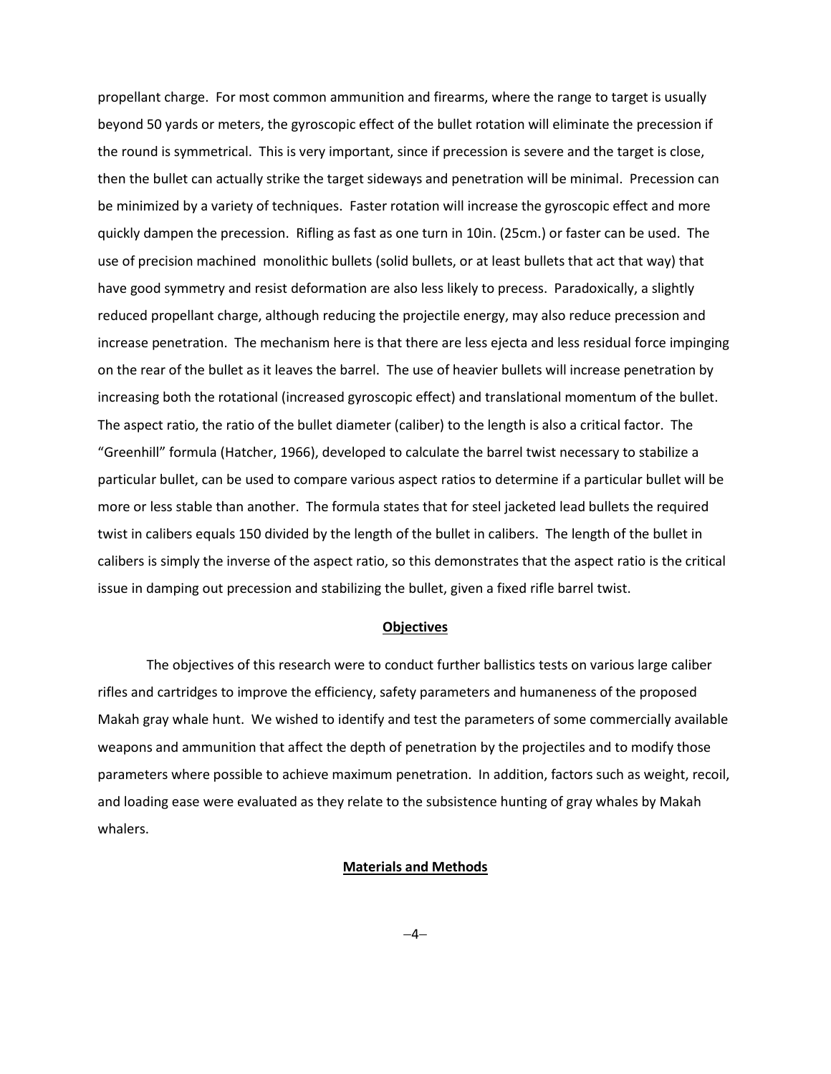propellant charge. For most common ammunition and firearms, where the range to target is usually beyond 50 yards or meters, the gyroscopic effect of the bullet rotation will eliminate the precession if the round is symmetrical. This is very important, since if precession is severe and the target is close, then the bullet can actually strike the target sideways and penetration will be minimal. Precession can be minimized by a variety of techniques. Faster rotation will increase the gyroscopic effect and more quickly dampen the precession. Rifling as fast as one turn in 10in. (25cm.) or faster can be used. The use of precision machined monolithic bullets (solid bullets, or at least bullets that act that way) that have good symmetry and resist deformation are also less likely to precess. Paradoxically, a slightly reduced propellant charge, although reducing the projectile energy, may also reduce precession and increase penetration. The mechanism here is that there are less ejecta and less residual force impinging on the rear of the bullet as it leaves the barrel. The use of heavier bullets will increase penetration by increasing both the rotational (increased gyroscopic effect) and translational momentum of the bullet. The aspect ratio, the ratio of the bullet diameter (caliber) to the length is also a critical factor. The "Greenhill" formula (Hatcher, 1966), developed to calculate the barrel twist necessary to stabilize a particular bullet, can be used to compare various aspect ratios to determine if a particular bullet will be more or less stable than another. The formula states that for steel jacketed lead bullets the required twist in calibers equals 150 divided by the length of the bullet in calibers. The length of the bullet in calibers is simply the inverse of the aspect ratio, so this demonstrates that the aspect ratio is the critical issue in damping out precession and stabilizing the bullet, given a fixed rifle barrel twist.

#### **Objectives**

The objectives of this research were to conduct further ballistics tests on various large caliber rifles and cartridges to improve the efficiency, safety parameters and humaneness of the proposed Makah gray whale hunt. We wished to identify and test the parameters of some commercially available weapons and ammunition that affect the depth of penetration by the projectiles and to modify those parameters where possible to achieve maximum penetration. In addition, factors such as weight, recoil, and loading ease were evaluated as they relate to the subsistence hunting of gray whales by Makah whalers.

## **Materials and Methods**

 $-4-$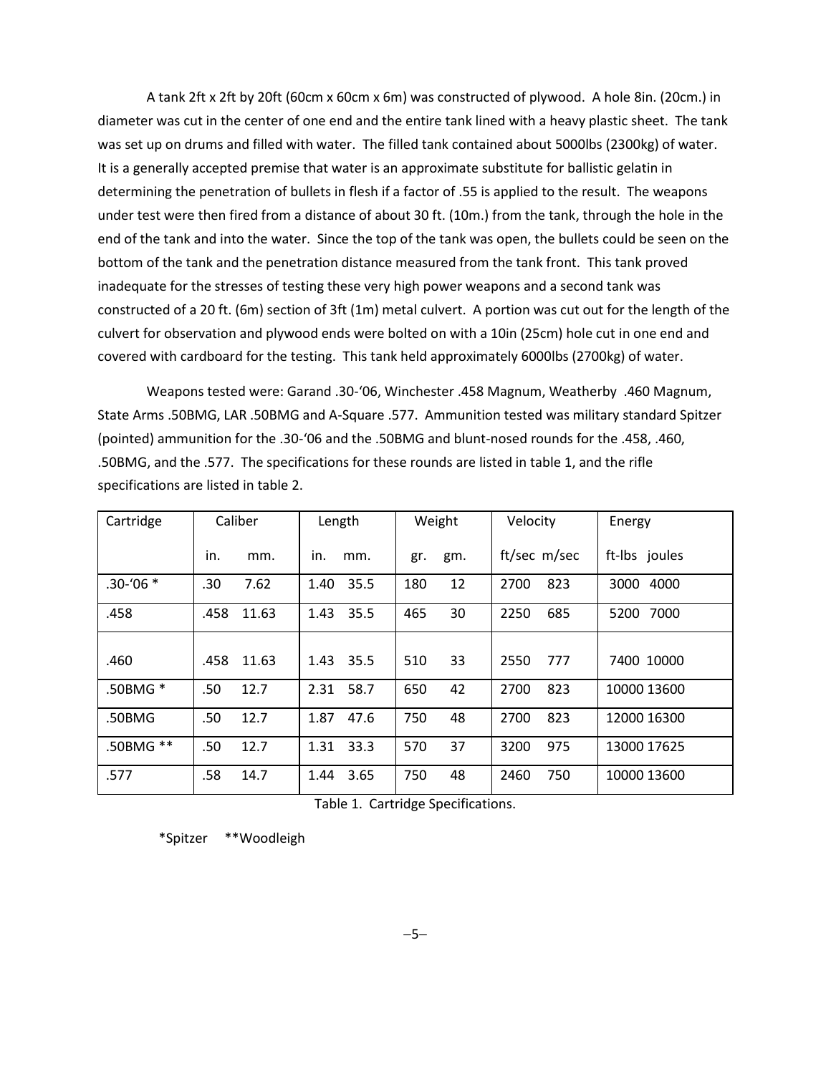A tank 2ft x 2ft by 20ft (60cm x 60cm x 6m) was constructed of plywood. A hole 8in. (20cm.) in diameter was cut in the center of one end and the entire tank lined with a heavy plastic sheet. The tank was set up on drums and filled with water. The filled tank contained about 5000lbs (2300kg) of water. It is a generally accepted premise that water is an approximate substitute for ballistic gelatin in determining the penetration of bullets in flesh if a factor of .55 is applied to the result. The weapons under test were then fired from a distance of about 30 ft. (10m.) from the tank, through the hole in the end of the tank and into the water. Since the top of the tank was open, the bullets could be seen on the bottom of the tank and the penetration distance measured from the tank front. This tank proved inadequate for the stresses of testing these very high power weapons and a second tank was constructed of a 20 ft. (6m) section of 3ft (1m) metal culvert. A portion was cut out for the length of the culvert for observation and plywood ends were bolted on with a 10in (25cm) hole cut in one end and covered with cardboard for the testing. This tank held approximately 6000lbs (2700kg) of water.

Weapons tested were: Garand .30-'06, Winchester .458 Magnum, Weatherby .460 Magnum, State Arms .50BMG, LAR .50BMG and A-Square .577. Ammunition tested was military standard Spitzer (pointed) ammunition for the .30-'06 and the .50BMG and blunt-nosed rounds for the .458, .460, .50BMG, and the .577. The specifications for these rounds are listed in table 1, and the rifle specifications are listed in table 2.

| Cartridge   | Caliber       | Length       | Weight     | Velocity     | Energy        |
|-------------|---------------|--------------|------------|--------------|---------------|
|             | in.<br>mm.    | in.<br>mm.   | gm.<br>gr. | ft/sec m/sec | ft-Ibs joules |
| $.30 - 06*$ | .30<br>7.62   | 35.5<br>1.40 | 12<br>180  | 823<br>2700  | 4000<br>3000  |
| .458        | .458<br>11.63 | 35.5<br>1.43 | 465<br>30  | 2250<br>685  | 5200<br>7000  |
| .460        | .458<br>11.63 | 35.5<br>1.43 | 33<br>510  | 2550<br>777  | 7400 10000    |
| .50BMG *    | 12.7<br>.50   | 58.7<br>2.31 | 650<br>42  | 2700<br>823  | 10000 13600   |
| .50BMG      | 12.7<br>.50   | 1.87<br>47.6 | 750<br>48  | 2700<br>823  | 12000 16300   |
| .50BMG **   | .50<br>12.7   | 33.3<br>1.31 | 570<br>37  | 3200<br>975  | 13000 17625   |
| .577        | .58<br>14.7   | 3.65<br>1.44 | 750<br>48  | 750<br>2460  | 10000 13600   |

Table 1. Cartridge Specifications.

\*Spitzer \*\*Woodleigh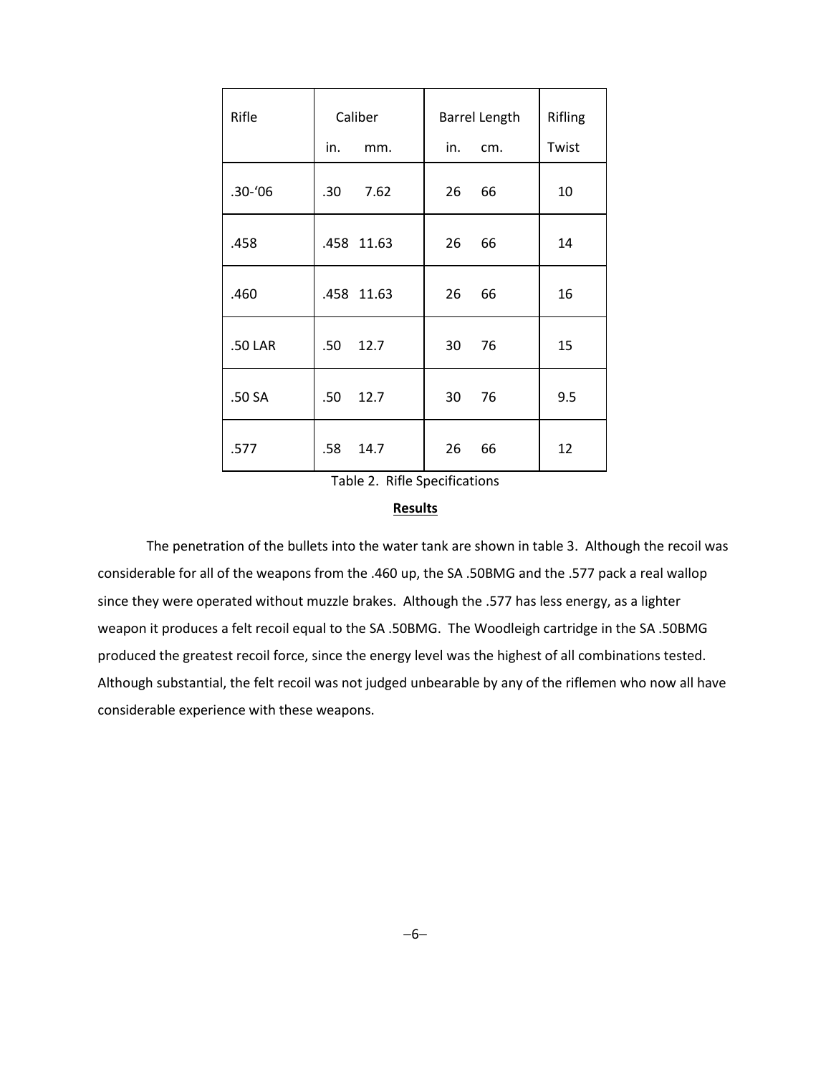| Rifle      | Caliber     | Barrel Length | Rifling |
|------------|-------------|---------------|---------|
|            | in.<br>mm.  | in.<br>cm.    | Twist   |
| $.30 - 06$ | .30<br>7.62 | 26<br>66      | 10      |
| .458       | .458 11.63  | 26<br>66      | 14      |
| .460       | .458 11.63  | 26<br>66      | 16      |
| .50 LAR    | .50<br>12.7 | 30<br>76      | 15      |
| .50 SA     | .50<br>12.7 | 30<br>76      | 9.5     |
| .577       | .58<br>14.7 | 26<br>66      | 12      |

Table 2. Rifle Specifications

### **Results**

The penetration of the bullets into the water tank are shown in table 3. Although the recoil was considerable for all of the weapons from the .460 up, the SA .50BMG and the .577 pack a real wallop since they were operated without muzzle brakes. Although the .577 has less energy, as a lighter weapon it produces a felt recoil equal to the SA .50BMG. The Woodleigh cartridge in the SA .50BMG produced the greatest recoil force, since the energy level was the highest of all combinations tested. Although substantial, the felt recoil was not judged unbearable by any of the riflemen who now all have considerable experience with these weapons.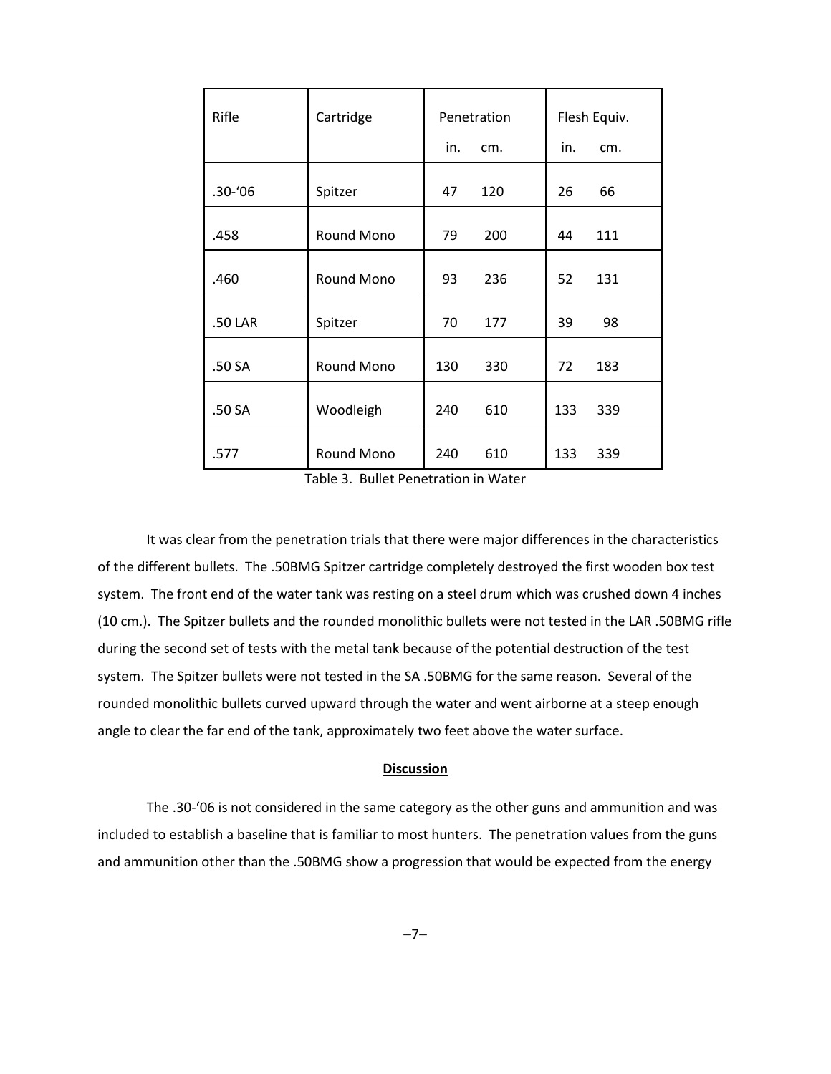| Rifle      | Cartridge         | Penetration |     | Flesh Equiv. |     |
|------------|-------------------|-------------|-----|--------------|-----|
|            |                   | in.         | cm. | in.          | cm. |
| $.30 - 06$ | Spitzer           | 47          | 120 | 26           | 66  |
| .458       | Round Mono        | 79          | 200 | 44           | 111 |
| .460       | Round Mono        | 93          | 236 | 52           | 131 |
| .50 LAR    | Spitzer           | 70          | 177 | 39           | 98  |
| .50 SA     | <b>Round Mono</b> | 130         | 330 | 72           | 183 |
| .50 SA     | Woodleigh         | 240         | 610 | 133          | 339 |
| .577       | Round Mono        | 240         | 610 | 133          | 339 |

Table 3. Bullet Penetration in Water

It was clear from the penetration trials that there were major differences in the characteristics of the different bullets. The .50BMG Spitzer cartridge completely destroyed the first wooden box test system. The front end of the water tank was resting on a steel drum which was crushed down 4 inches (10 cm.). The Spitzer bullets and the rounded monolithic bullets were not tested in the LAR .50BMG rifle during the second set of tests with the metal tank because of the potential destruction of the test system. The Spitzer bullets were not tested in the SA .50BMG for the same reason. Several of the rounded monolithic bullets curved upward through the water and went airborne at a steep enough angle to clear the far end of the tank, approximately two feet above the water surface.

## **Discussion**

The .30-'06 is not considered in the same category as the other guns and ammunition and was included to establish a baseline that is familiar to most hunters. The penetration values from the guns and ammunition other than the .50BMG show a progression that would be expected from the energy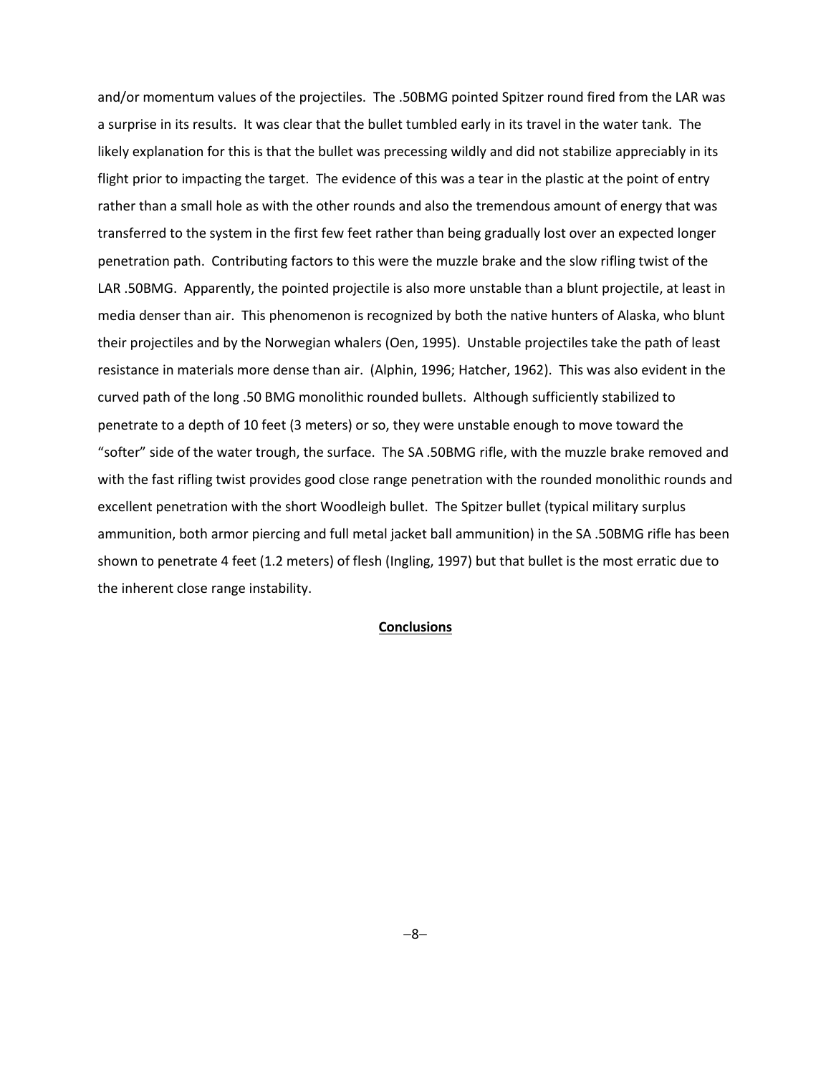and/or momentum values of the projectiles. The .50BMG pointed Spitzer round fired from the LAR was a surprise in its results. It was clear that the bullet tumbled early in its travel in the water tank. The likely explanation for this is that the bullet was precessing wildly and did not stabilize appreciably in its flight prior to impacting the target. The evidence of this was a tear in the plastic at the point of entry rather than a small hole as with the other rounds and also the tremendous amount of energy that was transferred to the system in the first few feet rather than being gradually lost over an expected longer penetration path. Contributing factors to this were the muzzle brake and the slow rifling twist of the LAR .50BMG. Apparently, the pointed projectile is also more unstable than a blunt projectile, at least in media denser than air. This phenomenon is recognized by both the native hunters of Alaska, who blunt their projectiles and by the Norwegian whalers (Oen, 1995). Unstable projectiles take the path of least resistance in materials more dense than air. (Alphin, 1996; Hatcher, 1962). This was also evident in the curved path of the long .50 BMG monolithic rounded bullets. Although sufficiently stabilized to penetrate to a depth of 10 feet (3 meters) or so, they were unstable enough to move toward the "softer" side of the water trough, the surface. The SA .50BMG rifle, with the muzzle brake removed and with the fast rifling twist provides good close range penetration with the rounded monolithic rounds and excellent penetration with the short Woodleigh bullet. The Spitzer bullet (typical military surplus ammunition, both armor piercing and full metal jacket ball ammunition) in the SA .50BMG rifle has been shown to penetrate 4 feet (1.2 meters) of flesh (Ingling, 1997) but that bullet is the most erratic due to the inherent close range instability.

## **Conclusions**